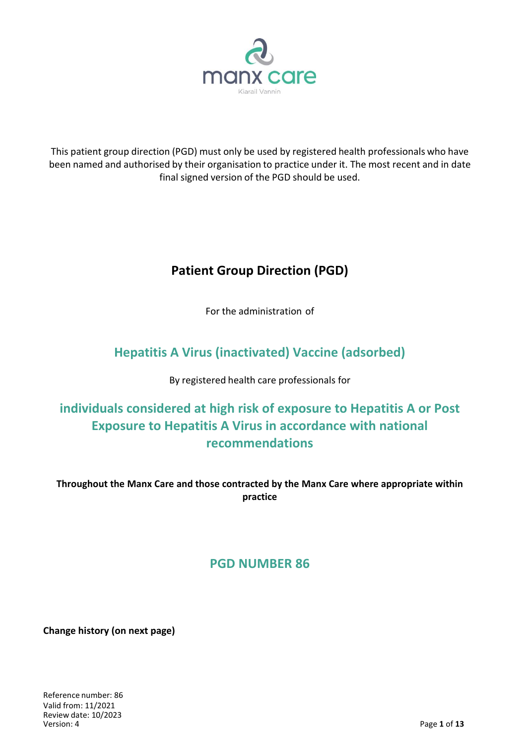

This patient group direction (PGD) must only be used by registered health professionals who have been named and authorised by their organisation to practice under it. The most recent and in date final signed version of the PGD should be used.

# **Patient Group Direction (PGD)**

For the administration of

## **Hepatitis A Virus (inactivated) Vaccine (adsorbed)**

By registered health care professionals for

# **individuals considered at high risk of exposure to Hepatitis A or Post Exposure to Hepatitis A Virus in accordance with national recommendations**

**Throughout the Manx Care and those contracted by the Manx Care where appropriate within practice**

## **PGD NUMBER 86**

**Change history (on next page)**

Reference number: 86 Valid from: 11/2021 Review date: 10/2023 Version: 4 Page **1** of **13**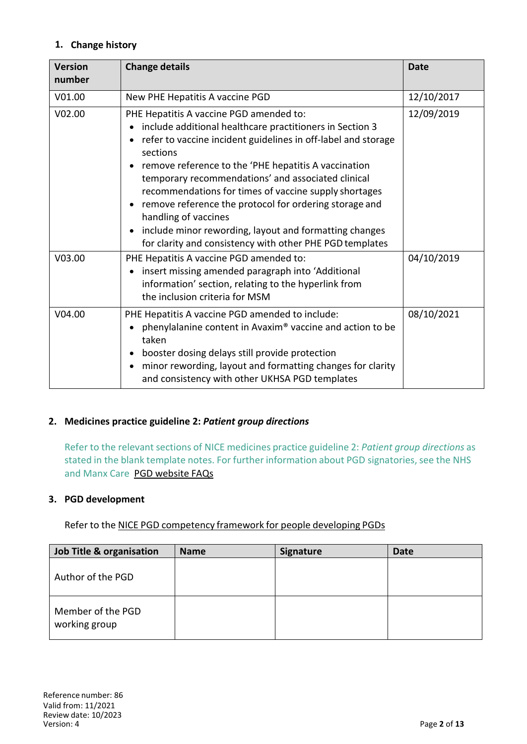### **1. Change history**

| <b>Version</b><br>number | <b>Change details</b>                                                                                                                                                                                                                                                                                                                                                                                                                                                                                                                                           | <b>Date</b> |
|--------------------------|-----------------------------------------------------------------------------------------------------------------------------------------------------------------------------------------------------------------------------------------------------------------------------------------------------------------------------------------------------------------------------------------------------------------------------------------------------------------------------------------------------------------------------------------------------------------|-------------|
| V01.00                   | New PHE Hepatitis A vaccine PGD                                                                                                                                                                                                                                                                                                                                                                                                                                                                                                                                 | 12/10/2017  |
| V02.00                   | PHE Hepatitis A vaccine PGD amended to:<br>include additional healthcare practitioners in Section 3<br>refer to vaccine incident guidelines in off-label and storage<br>sections<br>remove reference to the 'PHE hepatitis A vaccination<br>temporary recommendations' and associated clinical<br>recommendations for times of vaccine supply shortages<br>remove reference the protocol for ordering storage and<br>handling of vaccines<br>include minor rewording, layout and formatting changes<br>for clarity and consistency with other PHE PGD templates | 12/09/2019  |
| V03.00                   | PHE Hepatitis A vaccine PGD amended to:<br>insert missing amended paragraph into 'Additional<br>information' section, relating to the hyperlink from<br>the inclusion criteria for MSM                                                                                                                                                                                                                                                                                                                                                                          | 04/10/2019  |
| V04.00                   | PHE Hepatitis A vaccine PGD amended to include:<br>phenylalanine content in Avaxim® vaccine and action to be<br>taken<br>booster dosing delays still provide protection<br>minor rewording, layout and formatting changes for clarity<br>and consistency with other UKHSA PGD templates                                                                                                                                                                                                                                                                         | 08/10/2021  |

#### **2. Medicines practice guideline 2:** *Patient group directions*

Refer to the relevant sections of NICE medicines practice guideline 2: *Patient group directions* as stated in the blank template notes. For further information about PGD signatories, see the NHS and Manx Care PGD website FAQs

#### **3. PGD development**

Refer to the NICE PGD competency framework for people developing PGDs

| <b>Job Title &amp; organisation</b> | <b>Name</b> | <b>Signature</b> | <b>Date</b> |
|-------------------------------------|-------------|------------------|-------------|
| Author of the PGD                   |             |                  |             |
| Member of the PGD<br>working group  |             |                  |             |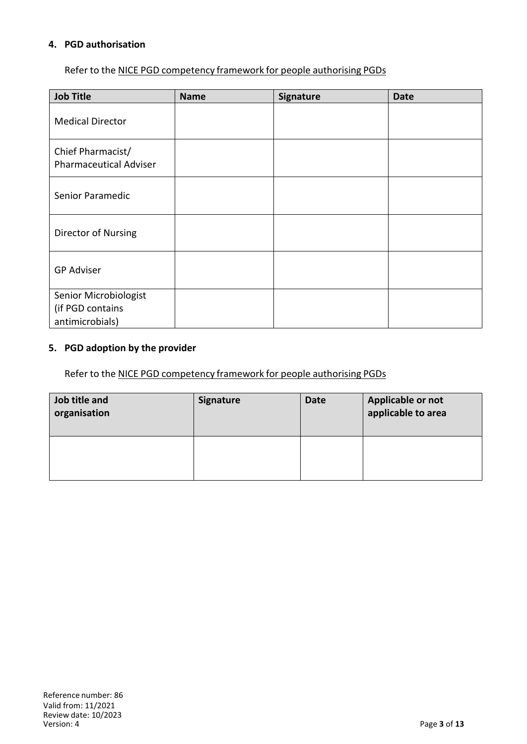#### **4. PGD authorisation**

Refer to the NICE PGD competency framework for people authorising PGDs

| <b>Job Title</b>                                             | <b>Name</b> | <b>Signature</b> | <b>Date</b> |
|--------------------------------------------------------------|-------------|------------------|-------------|
| <b>Medical Director</b>                                      |             |                  |             |
| Chief Pharmacist/<br><b>Pharmaceutical Adviser</b>           |             |                  |             |
| Senior Paramedic                                             |             |                  |             |
| Director of Nursing                                          |             |                  |             |
| <b>GP Adviser</b>                                            |             |                  |             |
| Senior Microbiologist<br>(if PGD contains<br>antimicrobials) |             |                  |             |

#### **5. PGD adoption by the provider**

Refer to the NICE PGD competency framework for people authorising PGDs

| Job title and<br>organisation | Signature | <b>Date</b> | Applicable or not<br>applicable to area |
|-------------------------------|-----------|-------------|-----------------------------------------|
|                               |           |             |                                         |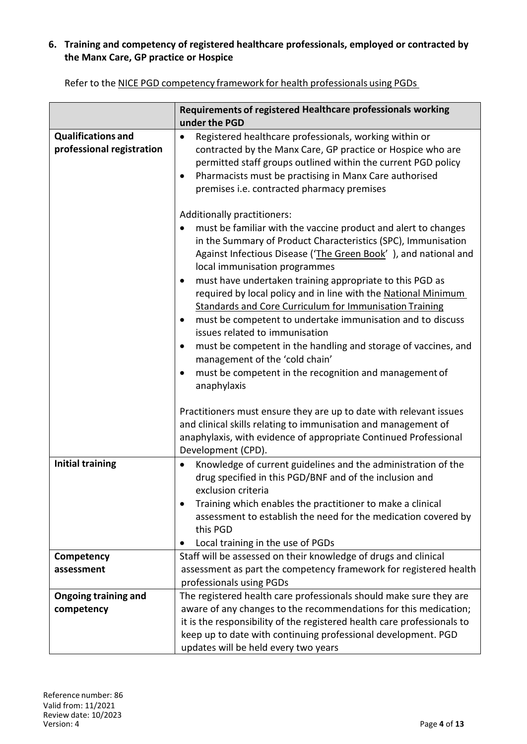### **6. Training and competency of registered healthcare professionals, employed or contracted by the Manx Care, GP practice or Hospice**

|                                                        | Requirements of registered Healthcare professionals working                                                                                                                                                                                                                                                                                                                                                                                                                                                                                                                                                                                                                                                                                                            |
|--------------------------------------------------------|------------------------------------------------------------------------------------------------------------------------------------------------------------------------------------------------------------------------------------------------------------------------------------------------------------------------------------------------------------------------------------------------------------------------------------------------------------------------------------------------------------------------------------------------------------------------------------------------------------------------------------------------------------------------------------------------------------------------------------------------------------------------|
|                                                        | under the PGD                                                                                                                                                                                                                                                                                                                                                                                                                                                                                                                                                                                                                                                                                                                                                          |
| <b>Qualifications and</b><br>professional registration | Registered healthcare professionals, working within or<br>٠<br>contracted by the Manx Care, GP practice or Hospice who are<br>permitted staff groups outlined within the current PGD policy<br>Pharmacists must be practising in Manx Care authorised<br>$\bullet$<br>premises i.e. contracted pharmacy premises                                                                                                                                                                                                                                                                                                                                                                                                                                                       |
|                                                        | Additionally practitioners:<br>must be familiar with the vaccine product and alert to changes<br>٠<br>in the Summary of Product Characteristics (SPC), Immunisation<br>Against Infectious Disease ('The Green Book'), and national and<br>local immunisation programmes<br>must have undertaken training appropriate to this PGD as<br>٠<br>required by local policy and in line with the National Minimum<br><b>Standards and Core Curriculum for Immunisation Training</b><br>must be competent to undertake immunisation and to discuss<br>issues related to immunisation<br>must be competent in the handling and storage of vaccines, and<br>$\bullet$<br>management of the 'cold chain'<br>must be competent in the recognition and management of<br>anaphylaxis |
|                                                        | Practitioners must ensure they are up to date with relevant issues<br>and clinical skills relating to immunisation and management of<br>anaphylaxis, with evidence of appropriate Continued Professional<br>Development (CPD).                                                                                                                                                                                                                                                                                                                                                                                                                                                                                                                                         |
| <b>Initial training</b>                                | Knowledge of current guidelines and the administration of the<br>$\bullet$<br>drug specified in this PGD/BNF and of the inclusion and<br>exclusion criteria<br>Training which enables the practitioner to make a clinical<br>assessment to establish the need for the medication covered by<br>this PGD<br>Local training in the use of PGDs                                                                                                                                                                                                                                                                                                                                                                                                                           |
| Competency                                             | Staff will be assessed on their knowledge of drugs and clinical                                                                                                                                                                                                                                                                                                                                                                                                                                                                                                                                                                                                                                                                                                        |
| assessment                                             | assessment as part the competency framework for registered health                                                                                                                                                                                                                                                                                                                                                                                                                                                                                                                                                                                                                                                                                                      |
|                                                        | professionals using PGDs                                                                                                                                                                                                                                                                                                                                                                                                                                                                                                                                                                                                                                                                                                                                               |
| <b>Ongoing training and</b>                            | The registered health care professionals should make sure they are                                                                                                                                                                                                                                                                                                                                                                                                                                                                                                                                                                                                                                                                                                     |
| competency                                             | aware of any changes to the recommendations for this medication;                                                                                                                                                                                                                                                                                                                                                                                                                                                                                                                                                                                                                                                                                                       |
|                                                        | it is the responsibility of the registered health care professionals to                                                                                                                                                                                                                                                                                                                                                                                                                                                                                                                                                                                                                                                                                                |
|                                                        | keep up to date with continuing professional development. PGD                                                                                                                                                                                                                                                                                                                                                                                                                                                                                                                                                                                                                                                                                                          |
|                                                        | updates will be held every two years                                                                                                                                                                                                                                                                                                                                                                                                                                                                                                                                                                                                                                                                                                                                   |

Refer to the NICE PGD competency framework for health professionals using PGDs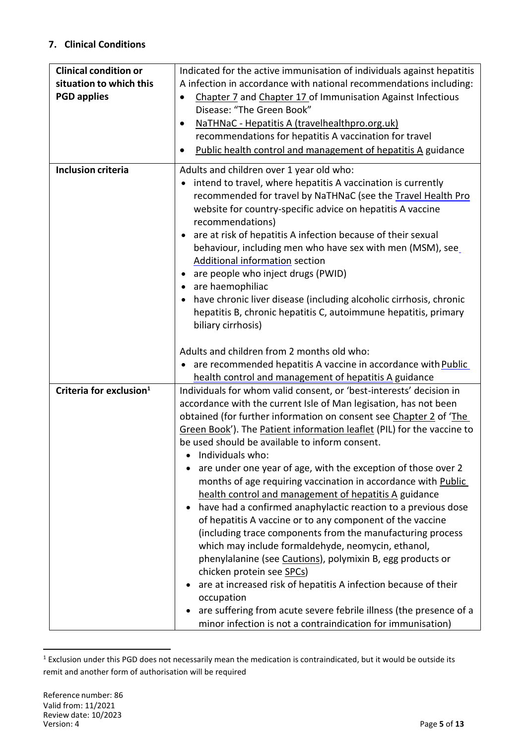### **7. Clinical Conditions**

| <b>Clinical condition or</b><br>situation to which this<br><b>PGD applies</b> | Indicated for the active immunisation of individuals against hepatitis<br>A infection in accordance with national recommendations including:<br>Chapter 7 and Chapter 17 of Immunisation Against Infectious<br>Disease: "The Green Book"<br>NaTHNaC - Hepatitis A (travelhealthpro.org.uk)<br>recommendations for hepatitis A vaccination for travel<br>Public health control and management of hepatitis A guidance                                                                                                                                                                                                                                                                                                                                                                                                                                                                                                                                                                                                                                                                                                          |
|-------------------------------------------------------------------------------|-------------------------------------------------------------------------------------------------------------------------------------------------------------------------------------------------------------------------------------------------------------------------------------------------------------------------------------------------------------------------------------------------------------------------------------------------------------------------------------------------------------------------------------------------------------------------------------------------------------------------------------------------------------------------------------------------------------------------------------------------------------------------------------------------------------------------------------------------------------------------------------------------------------------------------------------------------------------------------------------------------------------------------------------------------------------------------------------------------------------------------|
| <b>Inclusion criteria</b>                                                     | Adults and children over 1 year old who:<br>intend to travel, where hepatitis A vaccination is currently<br>recommended for travel by NaTHNaC (see the Travel Health Pro<br>website for country-specific advice on hepatitis A vaccine<br>recommendations)<br>are at risk of hepatitis A infection because of their sexual<br>behaviour, including men who have sex with men (MSM), see<br><b>Additional information section</b><br>are people who inject drugs (PWID)<br>٠<br>are haemophiliac<br>$\bullet$<br>have chronic liver disease (including alcoholic cirrhosis, chronic<br>٠<br>hepatitis B, chronic hepatitis C, autoimmune hepatitis, primary<br>biliary cirrhosis)                                                                                                                                                                                                                                                                                                                                                                                                                                              |
|                                                                               | Adults and children from 2 months old who:<br>are recommended hepatitis A vaccine in accordance with Public<br>$\bullet$<br>health control and management of hepatitis A guidance                                                                                                                                                                                                                                                                                                                                                                                                                                                                                                                                                                                                                                                                                                                                                                                                                                                                                                                                             |
| Criteria for exclusion <sup>1</sup>                                           | Individuals for whom valid consent, or 'best-interests' decision in<br>accordance with the current Isle of Man legisation, has not been<br>obtained (for further information on consent see Chapter 2 of 'The<br>Green Book'). The Patient information leaflet (PIL) for the vaccine to<br>be used should be available to inform consent.<br>• Individuals who:<br>are under one year of age, with the exception of those over 2<br>months of age requiring vaccination in accordance with Public<br>health control and management of hepatitis A guidance<br>have had a confirmed anaphylactic reaction to a previous dose<br>of hepatitis A vaccine or to any component of the vaccine<br>(including trace components from the manufacturing process<br>which may include formaldehyde, neomycin, ethanol,<br>phenylalanine (see Cautions), polymixin B, egg products or<br>chicken protein see SPCs)<br>are at increased risk of hepatitis A infection because of their<br>occupation<br>are suffering from acute severe febrile illness (the presence of a<br>minor infection is not a contraindication for immunisation) |

 $1$  Exclusion under this PGD does not necessarily mean the medication is contraindicated, but it would be outside its remit and another form of authorisation will be required

 $\overline{a}$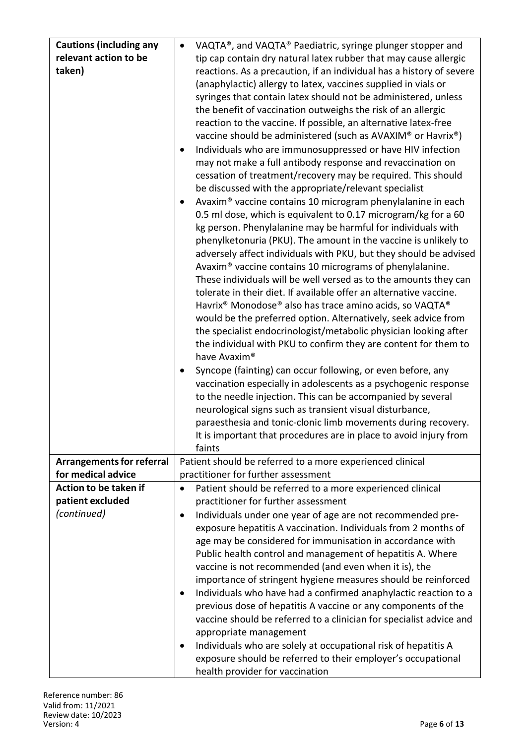| <b>Cautions (including any</b>                         | VAQTA®, and VAQTA® Paediatric, syringe plunger stopper and<br>$\bullet$                                                 |
|--------------------------------------------------------|-------------------------------------------------------------------------------------------------------------------------|
| relevant action to be                                  | tip cap contain dry natural latex rubber that may cause allergic                                                        |
| taken)                                                 | reactions. As a precaution, if an individual has a history of severe                                                    |
|                                                        | (anaphylactic) allergy to latex, vaccines supplied in vials or                                                          |
|                                                        | syringes that contain latex should not be administered, unless                                                          |
|                                                        | the benefit of vaccination outweighs the risk of an allergic                                                            |
|                                                        | reaction to the vaccine. If possible, an alternative latex-free                                                         |
|                                                        | vaccine should be administered (such as AVAXIM® or Havrix®)                                                             |
|                                                        | Individuals who are immunosuppressed or have HIV infection                                                              |
|                                                        | may not make a full antibody response and revaccination on                                                              |
|                                                        | cessation of treatment/recovery may be required. This should                                                            |
|                                                        | be discussed with the appropriate/relevant specialist                                                                   |
|                                                        | Avaxim® vaccine contains 10 microgram phenylalanine in each                                                             |
|                                                        | 0.5 ml dose, which is equivalent to 0.17 microgram/kg for a 60                                                          |
|                                                        | kg person. Phenylalanine may be harmful for individuals with                                                            |
|                                                        | phenylketonuria (PKU). The amount in the vaccine is unlikely to                                                         |
|                                                        | adversely affect individuals with PKU, but they should be advised                                                       |
|                                                        | Avaxim® vaccine contains 10 micrograms of phenylalanine.                                                                |
|                                                        | These individuals will be well versed as to the amounts they can                                                        |
|                                                        | tolerate in their diet. If available offer an alternative vaccine.                                                      |
|                                                        | Havrix <sup>®</sup> Monodose® also has trace amino acids, so VAQTA®                                                     |
|                                                        | would be the preferred option. Alternatively, seek advice from                                                          |
|                                                        | the specialist endocrinologist/metabolic physician looking after                                                        |
|                                                        |                                                                                                                         |
|                                                        | the individual with PKU to confirm they are content for them to<br>have Avaxim <sup>®</sup>                             |
|                                                        |                                                                                                                         |
|                                                        | Syncope (fainting) can occur following, or even before, any                                                             |
|                                                        | vaccination especially in adolescents as a psychogenic response                                                         |
|                                                        | to the needle injection. This can be accompanied by several<br>neurological signs such as transient visual disturbance, |
|                                                        | paraesthesia and tonic-clonic limb movements during recovery.                                                           |
|                                                        |                                                                                                                         |
|                                                        | It is important that procedures are in place to avoid injury from<br>faints                                             |
|                                                        |                                                                                                                         |
| <b>Arrangements for referral</b><br>for medical advice | Patient should be referred to a more experienced clinical<br>practitioner for further assessment                        |
| Action to be taken if                                  |                                                                                                                         |
|                                                        | Patient should be referred to a more experienced clinical                                                               |
| patient excluded                                       | practitioner for further assessment                                                                                     |
| (continued)                                            | Individuals under one year of age are not recommended pre-<br>٠                                                         |
|                                                        | exposure hepatitis A vaccination. Individuals from 2 months of                                                          |
|                                                        | age may be considered for immunisation in accordance with                                                               |
|                                                        | Public health control and management of hepatitis A. Where                                                              |
|                                                        | vaccine is not recommended (and even when it is), the                                                                   |
|                                                        | importance of stringent hygiene measures should be reinforced                                                           |
|                                                        | Individuals who have had a confirmed anaphylactic reaction to a<br>٠                                                    |
|                                                        | previous dose of hepatitis A vaccine or any components of the                                                           |
|                                                        | vaccine should be referred to a clinician for specialist advice and                                                     |
|                                                        | appropriate management                                                                                                  |
|                                                        | Individuals who are solely at occupational risk of hepatitis A<br>٠                                                     |
|                                                        | exposure should be referred to their employer's occupational                                                            |
|                                                        | health provider for vaccination                                                                                         |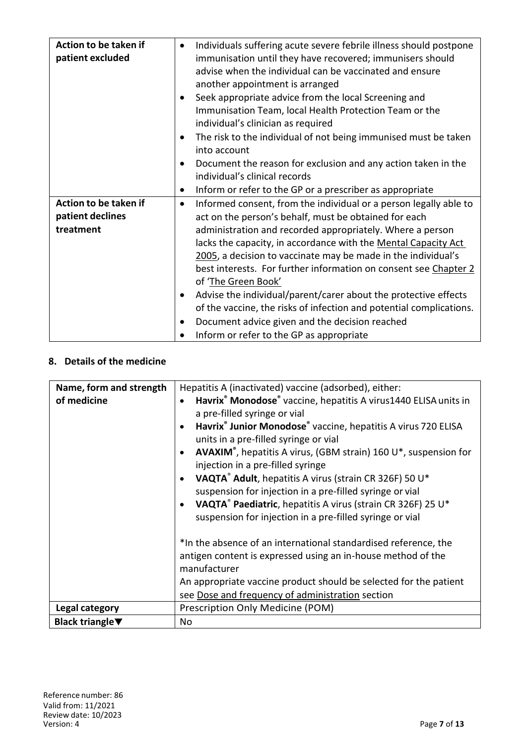| Action to be taken if | $\bullet$ | Individuals suffering acute severe febrile illness should postpone  |
|-----------------------|-----------|---------------------------------------------------------------------|
| patient excluded      |           | immunisation until they have recovered; immunisers should           |
|                       |           | advise when the individual can be vaccinated and ensure             |
|                       |           | another appointment is arranged                                     |
|                       | ٠         | Seek appropriate advice from the local Screening and                |
|                       |           | Immunisation Team, local Health Protection Team or the              |
|                       |           | individual's clinician as required                                  |
|                       | $\bullet$ | The risk to the individual of not being immunised must be taken     |
|                       |           | into account                                                        |
|                       |           | Document the reason for exclusion and any action taken in the       |
|                       |           | individual's clinical records                                       |
|                       | $\bullet$ | Inform or refer to the GP or a prescriber as appropriate            |
| Action to be taken if | $\bullet$ | Informed consent, from the individual or a person legally able to   |
| patient declines      |           | act on the person's behalf, must be obtained for each               |
| treatment             |           | administration and recorded appropriately. Where a person           |
|                       |           | lacks the capacity, in accordance with the Mental Capacity Act      |
|                       |           | 2005, a decision to vaccinate may be made in the individual's       |
|                       |           | best interests. For further information on consent see Chapter 2    |
|                       |           | of 'The Green Book'                                                 |
|                       | $\bullet$ | Advise the individual/parent/carer about the protective effects     |
|                       |           | of the vaccine, the risks of infection and potential complications. |
|                       | $\bullet$ | Document advice given and the decision reached                      |
|                       |           | Inform or refer to the GP as appropriate                            |

#### **8. Details of the medicine**

| Name, form and strength             | Hepatitis A (inactivated) vaccine (adsorbed), either:                                   |
|-------------------------------------|-----------------------------------------------------------------------------------------|
| of medicine                         | Havrix <sup>®</sup> Monodose <sup>®</sup> vaccine, hepatitis A virus1440 ELISA units in |
|                                     | a pre-filled syringe or vial                                                            |
|                                     | Havrix <sup>®</sup> Junior Monodose® vaccine, hepatitis A virus 720 ELISA               |
|                                     | units in a pre-filled syringe or vial                                                   |
|                                     | AVAXIM®, hepatitis A virus, (GBM strain) 160 U*, suspension for                         |
|                                     | injection in a pre-filled syringe                                                       |
|                                     | VAQTA® Adult, hepatitis A virus (strain CR 326F) 50 U*                                  |
|                                     | suspension for injection in a pre-filled syringe or vial                                |
|                                     | VAQTA® Paediatric, hepatitis A virus (strain CR 326F) 25 U*                             |
|                                     | suspension for injection in a pre-filled syringe or vial                                |
|                                     |                                                                                         |
|                                     | *In the absence of an international standardised reference, the                         |
|                                     | antigen content is expressed using an in-house method of the                            |
|                                     | manufacturer                                                                            |
|                                     | An appropriate vaccine product should be selected for the patient                       |
|                                     | see Dose and frequency of administration section                                        |
| Legal category                      | Prescription Only Medicine (POM)                                                        |
|                                     |                                                                                         |
| Black triangle $\blacktriangledown$ | No                                                                                      |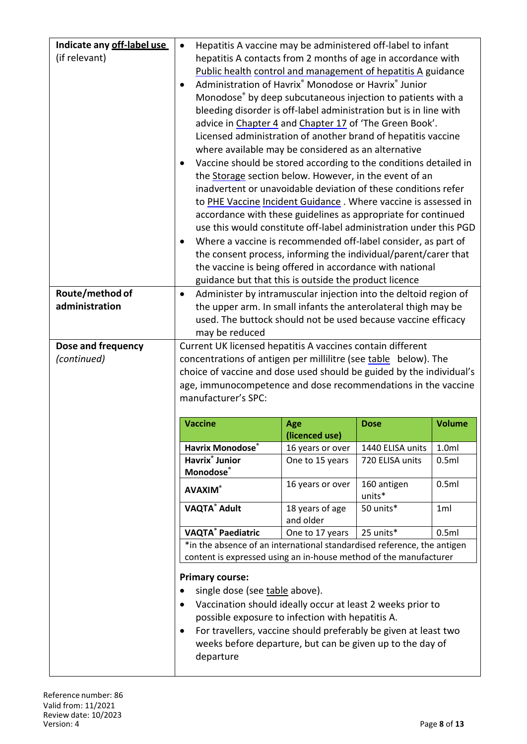|                    |                                                                                                                             |                                    | Hepatitis A vaccine may be administered off-label to infant          |                  |
|--------------------|-----------------------------------------------------------------------------------------------------------------------------|------------------------------------|----------------------------------------------------------------------|------------------|
| (if relevant)      | hepatitis A contacts from 2 months of age in accordance with                                                                |                                    |                                                                      |                  |
|                    | Public health control and management of hepatitis A guidance                                                                |                                    |                                                                      |                  |
|                    | Administration of Havrix® Monodose or Havrix® Junior                                                                        |                                    |                                                                      |                  |
|                    | Monodose® by deep subcutaneous injection to patients with a                                                                 |                                    |                                                                      |                  |
|                    | bleeding disorder is off-label administration but is in line with                                                           |                                    |                                                                      |                  |
|                    | advice in Chapter 4 and Chapter 17 of 'The Green Book'.                                                                     |                                    |                                                                      |                  |
|                    | Licensed administration of another brand of hepatitis vaccine                                                               |                                    |                                                                      |                  |
|                    | where available may be considered as an alternative                                                                         |                                    |                                                                      |                  |
|                    | Vaccine should be stored according to the conditions detailed in                                                            |                                    |                                                                      |                  |
|                    | the Storage section below. However, in the event of an                                                                      |                                    |                                                                      |                  |
|                    | inadvertent or unavoidable deviation of these conditions refer                                                              |                                    |                                                                      |                  |
|                    | to PHE Vaccine Incident Guidance. Where vaccine is assessed in                                                              |                                    |                                                                      |                  |
|                    | accordance with these guidelines as appropriate for continued                                                               |                                    |                                                                      |                  |
|                    | use this would constitute off-label administration under this PGD                                                           |                                    |                                                                      |                  |
|                    | Where a vaccine is recommended off-label consider, as part of                                                               |                                    |                                                                      |                  |
|                    | the consent process, informing the individual/parent/carer that<br>the vaccine is being offered in accordance with national |                                    |                                                                      |                  |
|                    | guidance but that this is outside the product licence                                                                       |                                    |                                                                      |                  |
| Route/method of    | Administer by intramuscular injection into the deltoid region of<br>$\bullet$                                               |                                    |                                                                      |                  |
| administration     | the upper arm. In small infants the anterolateral thigh may be                                                              |                                    |                                                                      |                  |
|                    | used. The buttock should not be used because vaccine efficacy                                                               |                                    |                                                                      |                  |
|                    | may be reduced                                                                                                              |                                    |                                                                      |                  |
| Dose and frequency | Current UK licensed hepatitis A vaccines contain different                                                                  |                                    |                                                                      |                  |
| (continued)        | concentrations of antigen per millilitre (see table below). The                                                             |                                    |                                                                      |                  |
|                    |                                                                                                                             |                                    |                                                                      |                  |
|                    |                                                                                                                             |                                    | choice of vaccine and dose used should be guided by the individual's |                  |
|                    | age, immunocompetence and dose recommendations in the vaccine                                                               |                                    |                                                                      |                  |
|                    | manufacturer's SPC:                                                                                                         |                                    |                                                                      |                  |
|                    |                                                                                                                             |                                    |                                                                      |                  |
|                    | <b>Vaccine</b>                                                                                                              | Age                                | <b>Dose</b>                                                          | <b>Volume</b>    |
|                    | Havrix Monodose®                                                                                                            | (licenced use)<br>16 years or over | 1440 ELISA units                                                     | 1.0 <sub>m</sub> |
|                    | <b>Havrix<sup>®</sup></b> Junior                                                                                            | One to 15 years                    | 720 ELISA units                                                      | 0.5ml            |
|                    | <b>Monodose</b> ®                                                                                                           |                                    |                                                                      |                  |
|                    | <b>AVAXIM®</b>                                                                                                              | 16 years or over                   | 160 antigen                                                          | 0.5ml            |
|                    |                                                                                                                             |                                    | units*                                                               | 1 <sub>ml</sub>  |
|                    | <b>VAQTA® Adult</b>                                                                                                         | 18 years of age<br>and older       | 50 units*                                                            |                  |
|                    | VAQTA® Paediatric                                                                                                           | One to 17 years                    | 25 units*                                                            | 0.5ml            |
|                    | *in the absence of an international standardised reference, the antigen                                                     |                                    |                                                                      |                  |
|                    | content is expressed using an in-house method of the manufacturer                                                           |                                    |                                                                      |                  |
|                    | <b>Primary course:</b>                                                                                                      |                                    |                                                                      |                  |
|                    | single dose (see table above).                                                                                              |                                    |                                                                      |                  |
|                    | Vaccination should ideally occur at least 2 weeks prior to                                                                  |                                    |                                                                      |                  |
|                    | possible exposure to infection with hepatitis A.                                                                            |                                    |                                                                      |                  |
|                    | For travellers, vaccine should preferably be given at least two<br>$\bullet$                                                |                                    |                                                                      |                  |
|                    | weeks before departure, but can be given up to the day of                                                                   |                                    |                                                                      |                  |

 $\overline{\phantom{a}}$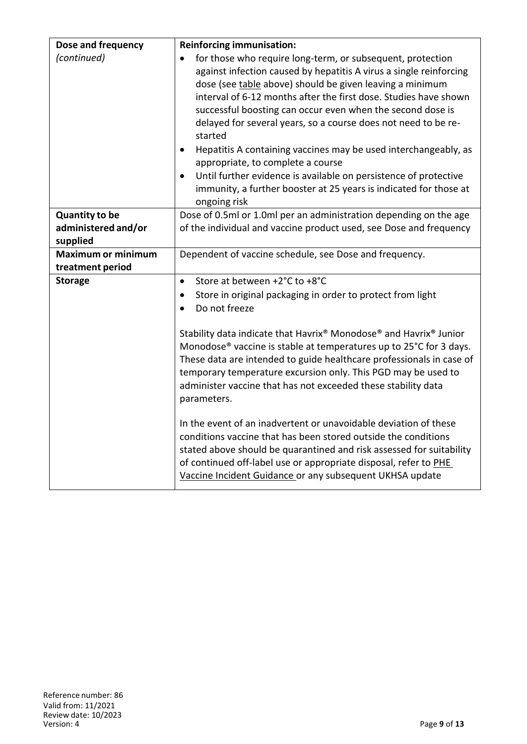| Dose and frequency              | <b>Reinforcing immunisation:</b>                                                                                                                                                                                                                                                                                                                                                                                                                                                                                                                                                                                                                                                               |
|---------------------------------|------------------------------------------------------------------------------------------------------------------------------------------------------------------------------------------------------------------------------------------------------------------------------------------------------------------------------------------------------------------------------------------------------------------------------------------------------------------------------------------------------------------------------------------------------------------------------------------------------------------------------------------------------------------------------------------------|
| (continued)                     | for those who require long-term, or subsequent, protection<br>against infection caused by hepatitis A virus a single reinforcing<br>dose (see table above) should be given leaving a minimum<br>interval of 6-12 months after the first dose. Studies have shown<br>successful boosting can occur even when the second dose is<br>delayed for several years, so a course does not need to be re-<br>started<br>Hepatitis A containing vaccines may be used interchangeably, as<br>$\bullet$<br>appropriate, to complete a course<br>Until further evidence is available on persistence of protective<br>٠<br>immunity, a further booster at 25 years is indicated for those at<br>ongoing risk |
| <b>Quantity to be</b>           | Dose of 0.5ml or 1.0ml per an administration depending on the age                                                                                                                                                                                                                                                                                                                                                                                                                                                                                                                                                                                                                              |
| administered and/or<br>supplied | of the individual and vaccine product used, see Dose and frequency                                                                                                                                                                                                                                                                                                                                                                                                                                                                                                                                                                                                                             |
| <b>Maximum or minimum</b>       | Dependent of vaccine schedule, see Dose and frequency.                                                                                                                                                                                                                                                                                                                                                                                                                                                                                                                                                                                                                                         |
| treatment period                |                                                                                                                                                                                                                                                                                                                                                                                                                                                                                                                                                                                                                                                                                                |
| <b>Storage</b>                  | Store at between +2°C to +8°C<br>$\bullet$<br>Store in original packaging in order to protect from light<br>٠<br>Do not freeze<br>$\bullet$                                                                                                                                                                                                                                                                                                                                                                                                                                                                                                                                                    |
|                                 | Stability data indicate that Havrix® Monodose® and Havrix® Junior<br>Monodose <sup>®</sup> vaccine is stable at temperatures up to 25°C for 3 days.<br>These data are intended to guide healthcare professionals in case of<br>temporary temperature excursion only. This PGD may be used to<br>administer vaccine that has not exceeded these stability data<br>parameters.                                                                                                                                                                                                                                                                                                                   |
|                                 | In the event of an inadvertent or unavoidable deviation of these<br>conditions vaccine that has been stored outside the conditions<br>stated above should be quarantined and risk assessed for suitability<br>of continued off-label use or appropriate disposal, refer to PHE<br>Vaccine Incident Guidance or any subsequent UKHSA update                                                                                                                                                                                                                                                                                                                                                     |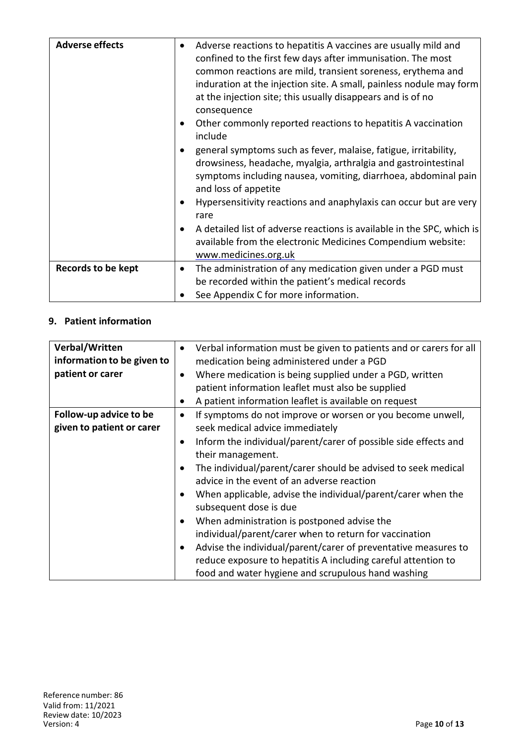| <b>Adverse effects</b>    | ٠         | Adverse reactions to hepatitis A vaccines are usually mild and<br>confined to the first few days after immunisation. The most<br>common reactions are mild, transient soreness, erythema and<br>induration at the injection site. A small, painless nodule may form<br>at the injection site; this usually disappears and is of no<br>consequence<br>Other commonly reported reactions to hepatitis A vaccination<br>include<br>general symptoms such as fever, malaise, fatigue, irritability,<br>drowsiness, headache, myalgia, arthralgia and gastrointestinal<br>symptoms including nausea, vomiting, diarrhoea, abdominal pain<br>and loss of appetite<br>Hypersensitivity reactions and anaphylaxis can occur but are very<br>rare<br>A detailed list of adverse reactions is available in the SPC, which is<br>available from the electronic Medicines Compendium website: |
|---------------------------|-----------|-----------------------------------------------------------------------------------------------------------------------------------------------------------------------------------------------------------------------------------------------------------------------------------------------------------------------------------------------------------------------------------------------------------------------------------------------------------------------------------------------------------------------------------------------------------------------------------------------------------------------------------------------------------------------------------------------------------------------------------------------------------------------------------------------------------------------------------------------------------------------------------|
|                           |           | www.medicines.org.uk                                                                                                                                                                                                                                                                                                                                                                                                                                                                                                                                                                                                                                                                                                                                                                                                                                                              |
| <b>Records to be kept</b> | $\bullet$ | The administration of any medication given under a PGD must<br>be recorded within the patient's medical records<br>See Appendix C for more information.                                                                                                                                                                                                                                                                                                                                                                                                                                                                                                                                                                                                                                                                                                                           |

### **9. Patient information**

| Verbal/Written             | $\bullet$ | Verbal information must be given to patients and or carers for all |
|----------------------------|-----------|--------------------------------------------------------------------|
| information to be given to |           | medication being administered under a PGD                          |
| patient or carer           | ٠         | Where medication is being supplied under a PGD, written            |
|                            |           | patient information leaflet must also be supplied                  |
|                            | $\bullet$ | A patient information leaflet is available on request              |
| Follow-up advice to be     |           | If symptoms do not improve or worsen or you become unwell,         |
| given to patient or carer  |           | seek medical advice immediately                                    |
|                            | $\bullet$ | Inform the individual/parent/carer of possible side effects and    |
|                            |           |                                                                    |
|                            |           | their management.                                                  |
|                            |           | The individual/parent/carer should be advised to seek medical      |
|                            |           | advice in the event of an adverse reaction                         |
|                            |           | When applicable, advise the individual/parent/carer when the       |
|                            |           | subsequent dose is due                                             |
|                            | $\bullet$ | When administration is postponed advise the                        |
|                            |           | individual/parent/carer when to return for vaccination             |
|                            |           | Advise the individual/parent/carer of preventative measures to     |
|                            |           | reduce exposure to hepatitis A including careful attention to      |
|                            |           | food and water hygiene and scrupulous hand washing                 |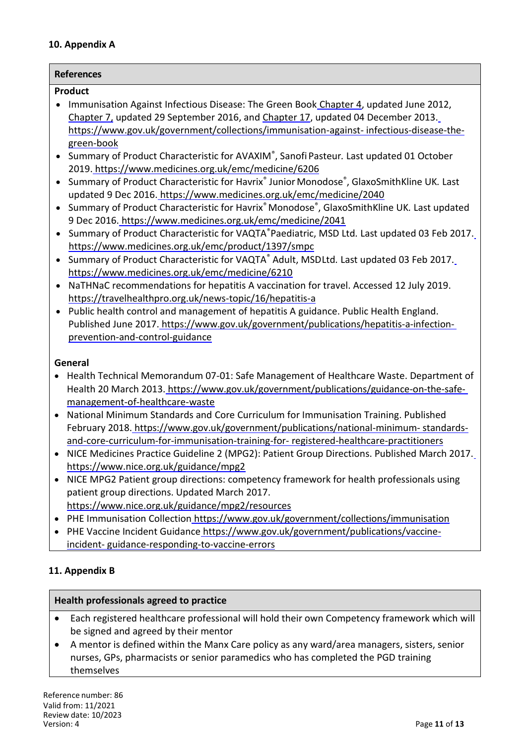#### **10. Appendix A**

## **References**

#### **Product**

- Immunisation Against Infectious Disease: The Green Book Chapter 4, updated June 2012, Chapter 7, updated 29 September 2016, and Chapter 17, updated 04 December 2013. https://www.gov.uk/government/collections/immunisation-against- infectious-disease-thegreen-book
- Summary of Product Characteristic for AVAXIM® , Sanofi Pasteur*.* Last updated 01 October 2019. https://www.medicines.org.uk/emc/medicine/6206
- Summary of Product Characteristic for Havrix<sup>®</sup> Junior Monodose<sup>®</sup>, GlaxoSmithKline UK. Last updated 9 Dec 2016. https://www.medicines.org.uk/emc/medicine/2040
- Summary of Product Characteristic for Havrix<sup>®</sup> Monodose<sup>®</sup>, GlaxoSmithKline UK. Last updated 9 Dec 2016. https://www.medicines.org.uk/emc/medicine/2041
- Summary of Product Characteristic for VAQTA®Paediatric, MSD Ltd*.* Last updated 03 Feb 2017. https://www.medicines.org.uk/emc/product/1397/smpc
- Summary of Product Characteristic for VAQTA® Adult, MSDLtd*.* Last updated 03 Feb 2017. https://www.medicines.org.uk/emc/medicine/6210
- NaTHNaC recommendations for hepatitis A vaccination for travel. Accessed 12 July 2019. https://travelhealthpro.org.uk/news-topic/16/hepatitis-a
- Public health control and management of hepatitis A guidance. Public Health England. Published June 2017. [https://www.gov.uk/government/publications/hepatitis-a-infection](https://www.gov.uk/government/publications/hepatitis-a-infection-prevention-and-control-guidance)prevention-and-control-guidance

#### **General**

- Health Technical Memorandum 07-01: Safe Management of Healthcare Waste. Department of Health 20 March 2013. [https://www.gov.uk/government/publications/guidance-on-the-safe](https://www.gov.uk/government/publications/guidance-on-the-safe-management-of-healthcare-waste)management-of-healthcare-waste
- National Minimum Standards and Core Curriculum for Immunisation Training. Published February 2018. [https://www.gov.uk/government/publications/national-minimum-](https://www.gov.uk/government/publications/national-minimum-standards-and-core-curriculum-for-immunisation-training-for-registered-healthcare-practitioners) standardsand-core-curriculum-for-immunisation-training-for- [registered-healthcare-practitioners](https://www.gov.uk/government/publications/national-minimum-standards-and-core-curriculum-for-immunisation-training-for-registered-healthcare-practitioners)
- NICE Medicines Practice Guideline 2 (MPG2): Patient Group Directions. Published March 2017. https://www.nice.org.uk/guidance/mpg2
- NICE MPG2 Patient group directions: competency framework for health professionals using patient group directions. Updated March 2017. https://www.nice.org.uk/guidance/mpg2/resources
- PHE Immunisation Collection https://www.gov.uk/government/collections/immunisation
- PHE Vaccine Incident Guidance https://www.gov.uk/government/publications/vaccineincident- guidance-responding-to-vaccine-errors

#### **11. Appendix B**

#### **Health professionals agreed to practice**

- Each registered healthcare professional will hold their own Competency framework which will be signed and agreed by their mentor
- A mentor is defined within the Manx Care policy as any ward/area managers, sisters, senior nurses, GPs, pharmacists or senior paramedics who has completed the PGD training themselves

Reference number: 86 Valid from: 11/2021 Review date: 10/2023 Version: 4 Page **11** of **13**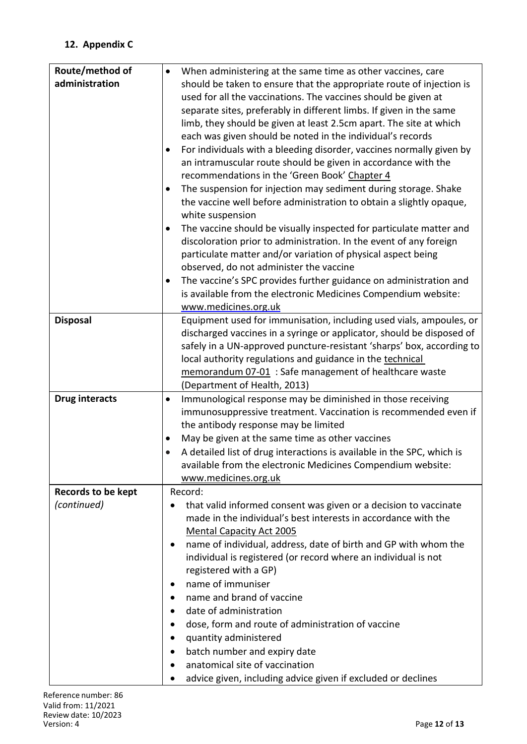## **12. Appendix C**

| Route/method of       | When administering at the same time as other vaccines, care<br>$\bullet$       |
|-----------------------|--------------------------------------------------------------------------------|
| administration        | should be taken to ensure that the appropriate route of injection is           |
|                       | used for all the vaccinations. The vaccines should be given at                 |
|                       | separate sites, preferably in different limbs. If given in the same            |
|                       | limb, they should be given at least 2.5cm apart. The site at which             |
|                       | each was given should be noted in the individual's records                     |
|                       | For individuals with a bleeding disorder, vaccines normally given by<br>٠      |
|                       | an intramuscular route should be given in accordance with the                  |
|                       | recommendations in the 'Green Book' Chapter 4                                  |
|                       | The suspension for injection may sediment during storage. Shake<br>$\bullet$   |
|                       | the vaccine well before administration to obtain a slightly opaque,            |
|                       |                                                                                |
|                       | white suspension                                                               |
|                       | The vaccine should be visually inspected for particulate matter and<br>٠       |
|                       | discoloration prior to administration. In the event of any foreign             |
|                       | particulate matter and/or variation of physical aspect being                   |
|                       | observed, do not administer the vaccine                                        |
|                       | The vaccine's SPC provides further guidance on administration and<br>$\bullet$ |
|                       | is available from the electronic Medicines Compendium website:                 |
|                       | www.medicines.org.uk                                                           |
| <b>Disposal</b>       | Equipment used for immunisation, including used vials, ampoules, or            |
|                       | discharged vaccines in a syringe or applicator, should be disposed of          |
|                       | safely in a UN-approved puncture-resistant 'sharps' box, according to          |
|                       | local authority regulations and guidance in the technical                      |
|                       | memorandum 07-01 : Safe management of healthcare waste                         |
|                       | (Department of Health, 2013)                                                   |
| <b>Drug interacts</b> | Immunological response may be diminished in those receiving<br>$\bullet$       |
|                       | immunosuppressive treatment. Vaccination is recommended even if                |
|                       | the antibody response may be limited                                           |
|                       | May be given at the same time as other vaccines                                |
|                       | A detailed list of drug interactions is available in the SPC, which is         |
|                       | available from the electronic Medicines Compendium website:                    |
|                       | www.medicines.org.uk                                                           |
| Records to be kept    | Record:                                                                        |
| (continued)           | that valid informed consent was given or a decision to vaccinate<br>$\bullet$  |
|                       | made in the individual's best interests in accordance with the                 |
|                       | <b>Mental Capacity Act 2005</b>                                                |
|                       | name of individual, address, date of birth and GP with whom the                |
|                       |                                                                                |
|                       | individual is registered (or record where an individual is not                 |
|                       | registered with a GP)                                                          |
|                       | name of immuniser<br>٠                                                         |
|                       | name and brand of vaccine                                                      |
|                       | date of administration<br>$\bullet$                                            |
|                       | dose, form and route of administration of vaccine                              |
|                       | quantity administered                                                          |
|                       | batch number and expiry date                                                   |
|                       | anatomical site of vaccination                                                 |
|                       | advice given, including advice given if excluded or declines                   |